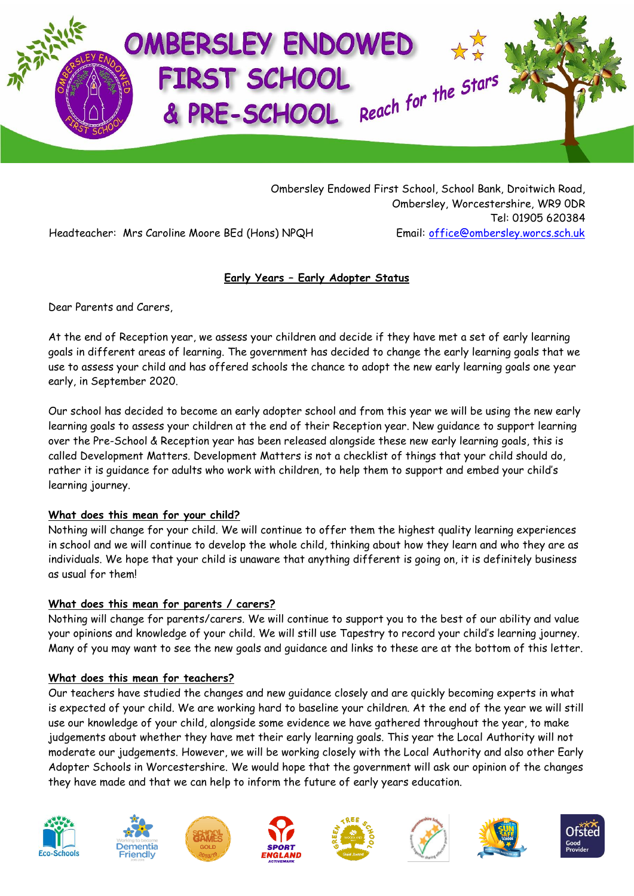

Ombersley Endowed First School, School Bank, Droitwich Road, Ombersley, Worcestershire, WR9 0DR Tel: 01905 620384 Headteacher: Mrs Caroline Moore BEd (Hons) NPQH Email: [office@ombersley.worcs.sch.uk](mailto:office@ombersley.worcs.sch.uk)

**Early Years – Early Adopter Status**

Dear Parents and Carers,

At the end of Reception year, we assess your children and decide if they have met a set of early learning goals in different areas of learning. The government has decided to change the early learning goals that we use to assess your child and has offered schools the chance to adopt the new early learning goals one year early, in September 2020.

Our school has decided to become an early adopter school and from this year we will be using the new early learning goals to assess your children at the end of their Reception year. New guidance to support learning over the Pre-School & Reception year has been released alongside these new early learning goals, this is called Development Matters. Development Matters is not a checklist of things that your child should do, rather it is guidance for adults who work with children, to help them to support and embed your child's learning journey.

## **What does this mean for your child?**

Nothing will change for your child. We will continue to offer them the highest quality learning experiences in school and we will continue to develop the whole child, thinking about how they learn and who they are as individuals. We hope that your child is unaware that anything different is going on, it is definitely business as usual for them!

## **What does this mean for parents / carers?**

Nothing will change for parents/carers. We will continue to support you to the best of our ability and value your opinions and knowledge of your child. We will still use Tapestry to record your child's learning journey. Many of you may want to see the new goals and guidance and links to these are at the bottom of this letter.

## **What does this mean for teachers?**

Our teachers have studied the changes and new guidance closely and are quickly becoming experts in what is expected of your child. We are working hard to baseline your children. At the end of the year we will still use our knowledge of your child, alongside some evidence we have gathered throughout the year, to make judgements about whether they have met their early learning goals. This year the Local Authority will not moderate our judgements. However, we will be working closely with the Local Authority and also other Early Adopter Schools in Worcestershire. We would hope that the government will ask our opinion of the changes they have made and that we can help to inform the future of early years education.